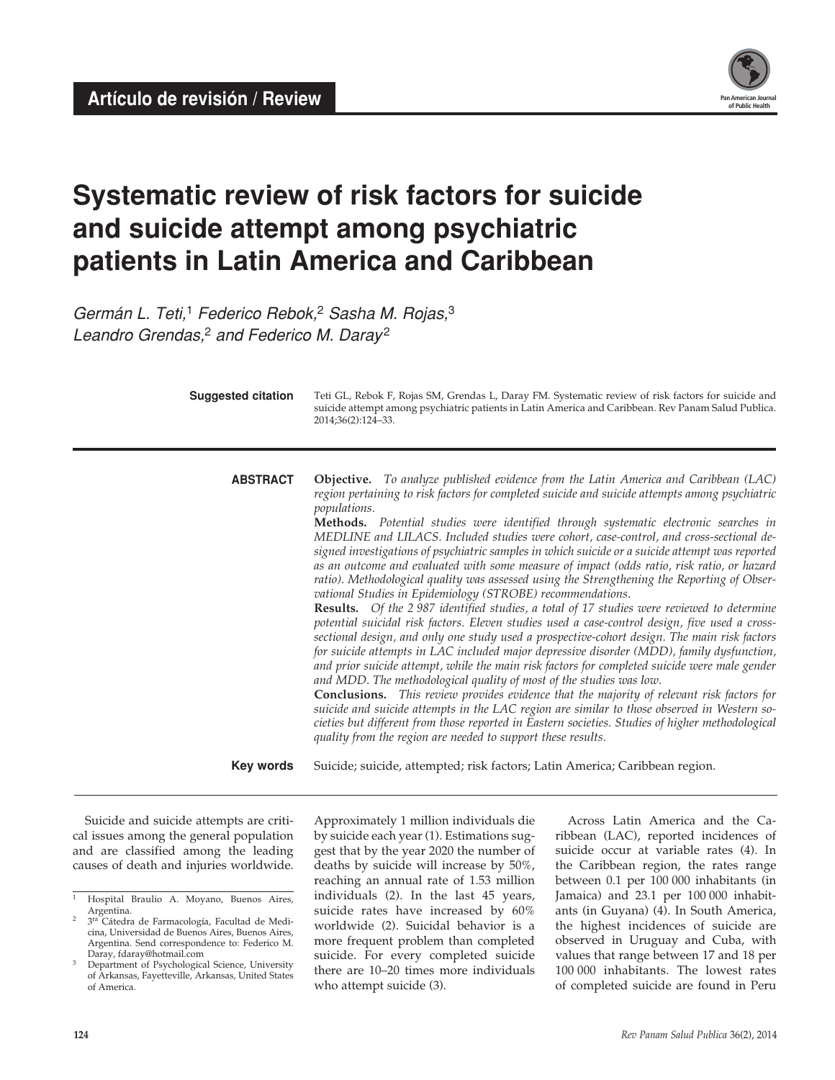**Artículo de revisión / Review** 



# **Systematic review of risk factors for suicide and suicide attempt among psychiatric patients in Latin America and Caribbean**

*Germán L. Teti,*1 *Federico Rebok,*2 *Sasha M. Rojas,*<sup>3</sup> *Leandro Grendas,*2 *and Federico M. Daray* <sup>2</sup>

| <b>Suggested citation</b> | Teti GL, Rebok F, Rojas SM, Grendas L, Daray FM. Systematic review of risk factors for suicide and<br>suicide attempt among psychiatric patients in Latin America and Caribbean. Rev Panam Salud Publica.<br>2014;36(2):124-33.                                                                                                                                                                                                                                                                                                                                                                                                                                                                                                                                                                                                                                                                                                                                                                                                                                                                                                                                                                                                                                                                                                                                                                                                                                                                                                                                                                                                                                                                                  |
|---------------------------|------------------------------------------------------------------------------------------------------------------------------------------------------------------------------------------------------------------------------------------------------------------------------------------------------------------------------------------------------------------------------------------------------------------------------------------------------------------------------------------------------------------------------------------------------------------------------------------------------------------------------------------------------------------------------------------------------------------------------------------------------------------------------------------------------------------------------------------------------------------------------------------------------------------------------------------------------------------------------------------------------------------------------------------------------------------------------------------------------------------------------------------------------------------------------------------------------------------------------------------------------------------------------------------------------------------------------------------------------------------------------------------------------------------------------------------------------------------------------------------------------------------------------------------------------------------------------------------------------------------------------------------------------------------------------------------------------------------|
| <b>ABSTRACT</b>           | <b>Objective.</b> To analyze published evidence from the Latin America and Caribbean (LAC)<br>region pertaining to risk factors for completed suicide and suicide attempts among psychiatric<br><i>populations.</i><br>Methods. Potential studies were identified through systematic electronic searches in<br>MEDLINE and LILACS. Included studies were cohort, case-control, and cross-sectional de-<br>signed investigations of psychiatric samples in which suicide or a suicide attempt was reported<br>as an outcome and evaluated with some measure of impact (odds ratio, risk ratio, or hazard<br>ratio). Methodological quality was assessed using the Strengthening the Reporting of Obser-<br>vational Studies in Epidemiology (STROBE) recommendations.<br>Results. Of the 2 987 identified studies, a total of 17 studies were reviewed to determine<br>potential suicidal risk factors. Eleven studies used a case-control design, five used a cross-<br>sectional design, and only one study used a prospective-cohort design. The main risk factors<br>for suicide attempts in LAC included major depressive disorder (MDD), family dysfunction,<br>and prior suicide attempt, while the main risk factors for completed suicide were male gender<br>and MDD. The methodological quality of most of the studies was low.<br><b>Conclusions.</b> This review provides evidence that the majority of relevant risk factors for<br>suicide and suicide attempts in the LAC region are similar to those observed in Western so-<br>cieties but different from those reported in Eastern societies. Studies of higher methodological<br>quality from the region are needed to support these results. |
| <b>Key words</b>          | Suicide; suicide, attempted; risk factors; Latin America; Caribbean region.                                                                                                                                                                                                                                                                                                                                                                                                                                                                                                                                                                                                                                                                                                                                                                                                                                                                                                                                                                                                                                                                                                                                                                                                                                                                                                                                                                                                                                                                                                                                                                                                                                      |

Suicide and suicide attempts are critical issues among the general population and are classified among the leading causes of death and injuries worldwide. Approximately 1 million individuals die by suicide each year (1). Estimations suggest that by the year 2020 the number of deaths by suicide will increase by 50%, reaching an annual rate of 1.53 million individuals (2). In the last 45 years, suicide rates have increased by 60% worldwide (2). Suicidal behavior is a more frequent problem than completed suicide. For every completed suicide there are 10–20 times more individuals who attempt suicide (3).

Across Latin America and the Caribbean (LAC), reported incidences of suicide occur at variable rates (4). In the Caribbean region, the rates range between 0.1 per 100 000 inhabitants (in Jamaica) and 23.1 per 100 000 inhabitants (in Guyana) (4). In South America, the highest incidences of suicide are observed in Uruguay and Cuba, with values that range between 17 and 18 per 100 000 inhabitants. The lowest rates of completed suicide are found in Peru

<sup>1</sup> Hospital Braulio A. Moyano, Buenos Aires, Argentina.

<sup>3&</sup>lt;sup>ra</sup> Cátedra de Farmacología, Facultad de Medicina, Universidad de Buenos Aires, Buenos Aires, Argentina. Send correspondence to: Federico M. Daray, fdaray@hotmail.com

<sup>&</sup>lt;sup>3</sup> Department of Psychological Science, University of Arkansas, Fayetteville, Arkansas, United States of America.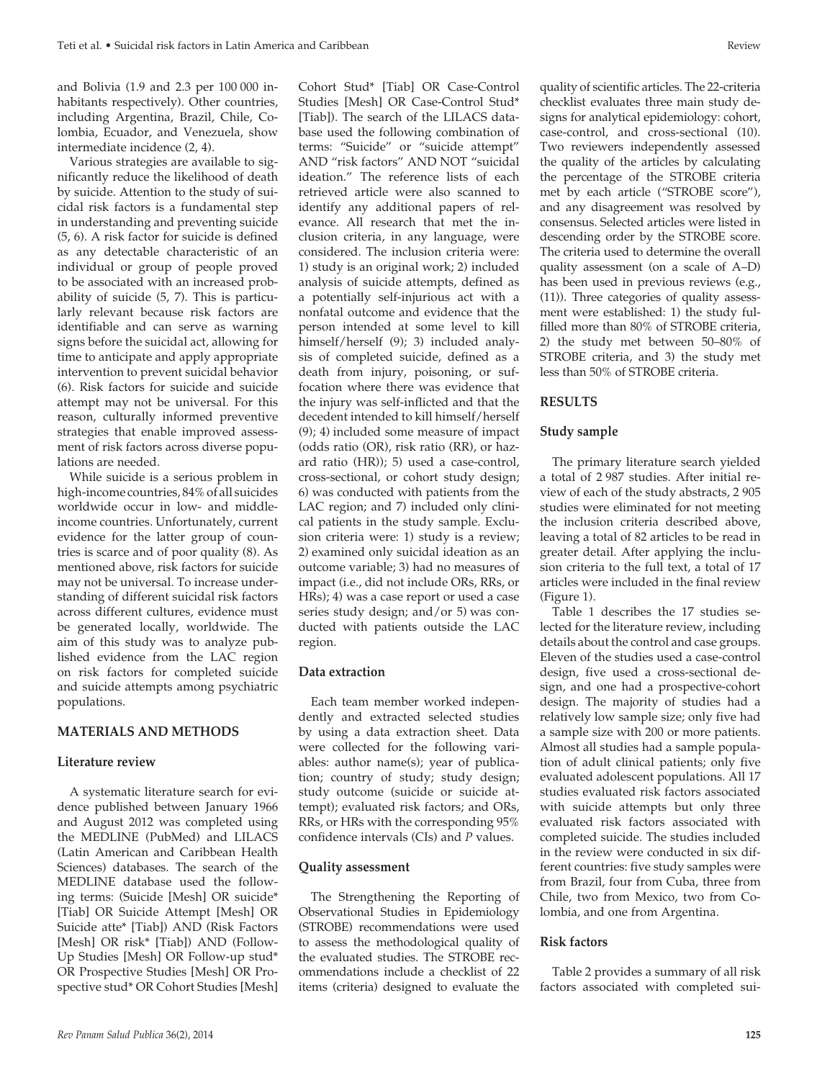and Bolivia (1.9 and 2.3 per 100 000 inhabitants respectively). Other countries, including Argentina, Brazil, Chile, Colombia, Ecuador, and Venezuela, show intermediate incidence (2, 4).

Various strategies are available to significantly reduce the likelihood of death by suicide. Attention to the study of suicidal risk factors is a fundamental step in understanding and preventing suicide (5, 6). A risk factor for suicide is defined as any detectable characteristic of an individual or group of people proved to be associated with an increased probability of suicide (5, 7). This is particularly relevant because risk factors are identifiable and can serve as warning signs before the suicidal act, allowing for time to anticipate and apply appropriate intervention to prevent suicidal behavior (6). Risk factors for suicide and suicide attempt may not be universal. For this reason, culturally informed preventive strategies that enable improved assessment of risk factors across diverse populations are needed.

While suicide is a serious problem in high-income countries, 84% of all suicides worldwide occur in low- and middleincome countries. Unfortunately, current evidence for the latter group of countries is scarce and of poor quality (8). As mentioned above, risk factors for suicide may not be universal. To increase understanding of different suicidal risk factors across different cultures, evidence must be generated locally, worldwide. The aim of this study was to analyze published evidence from the LAC region on risk factors for completed suicide and suicide attempts among psychiatric populations.

# **MATERIALS AND METHODS**

# **Literature review**

A systematic literature search for evidence published between January 1966 and August 2012 was completed using the MEDLINE (PubMed) and LILACS (Latin American and Caribbean Health Sciences) databases. The search of the MEDLINE database used the following terms: (Suicide [Mesh] OR suicide\* [Tiab] OR Suicide Attempt [Mesh] OR Suicide atte\* [Tiab]) AND (Risk Factors [Mesh] OR risk\* [Tiab]) AND (Follow-Up Studies [Mesh] OR Follow-up stud\* OR Prospective Studies [Mesh] OR Prospective stud\* OR Cohort Studies [Mesh] Cohort Stud\* [Tiab] OR Case-Control Studies [Mesh] OR Case-Control Stud\* [Tiab]). The search of the LILACS database used the following combination of terms: "Suicide" or "suicide attempt" AND "risk factors" AND NOT "suicidal ideation." The reference lists of each retrieved article were also scanned to identify any additional papers of relevance. All research that met the inclusion criteria, in any language, were considered. The inclusion criteria were: 1) study is an original work; 2) included analysis of suicide attempts, defined as a potentially self-injurious act with a nonfatal outcome and evidence that the person intended at some level to kill himself/herself (9); 3) included analysis of completed suicide, defined as a death from injury, poisoning, or suffocation where there was evidence that the injury was self-inflicted and that the decedent intended to kill himself/herself (9); 4) included some measure of impact (odds ratio (OR), risk ratio (RR), or hazard ratio (HR)); 5) used a case-control, cross-sectional, or cohort study design; 6) was conducted with patients from the LAC region; and 7) included only clinical patients in the study sample. Exclusion criteria were: 1) study is a review; 2) examined only suicidal ideation as an outcome variable; 3) had no measures of impact (i.e., did not include ORs, RRs, or HRs); 4) was a case report or used a case series study design; and/or 5) was conducted with patients outside the LAC region.

### **Data extraction**

Each team member worked independently and extracted selected studies by using a data extraction sheet. Data were collected for the following variables: author name(s); year of publication; country of study; study design; study outcome (suicide or suicide attempt); evaluated risk factors; and ORs, RRs, or HRs with the corresponding 95% confidence intervals (CIs) and *P* values.

# **Quality assessment**

The Strengthening the Reporting of Observational Studies in Epidemiology (STROBE) recommendations were used to assess the methodological quality of the evaluated studies. The STROBE recommendations include a checklist of 22 items (criteria) designed to evaluate the

quality of scientific articles. The 22-criteria checklist evaluates three main study designs for analytical epidemiology: cohort, case-control, and cross-sectional (10). Two reviewers independently assessed the quality of the articles by calculating the percentage of the STROBE criteria met by each article ("STROBE score"), and any disagreement was resolved by consensus. Selected articles were listed in descending order by the STROBE score. The criteria used to determine the overall quality assessment (on a scale of A–D) has been used in previous reviews (e.g., (11)). Three categories of quality assessment were established: 1) the study fulfilled more than 80% of STROBE criteria, 2) the study met between 50–80% of STROBE criteria, and 3) the study met less than 50% of STROBE criteria.

# **RESULTS**

# **Study sample**

The primary literature search yielded a total of 2 987 studies. After initial review of each of the study abstracts, 2 905 studies were eliminated for not meeting the inclusion criteria described above, leaving a total of 82 articles to be read in greater detail. After applying the inclusion criteria to the full text, a total of 17 articles were included in the final review (Figure 1).

Table 1 describes the 17 studies selected for the literature review, including details about the control and case groups. Eleven of the studies used a case-control design, five used a cross-sectional design, and one had a prospective-cohort design. The majority of studies had a relatively low sample size; only five had a sample size with 200 or more patients. Almost all studies had a sample population of adult clinical patients; only five evaluated adolescent populations. All 17 studies evaluated risk factors associated with suicide attempts but only three evaluated risk factors associated with completed suicide. The studies included in the review were conducted in six different countries: five study samples were from Brazil, four from Cuba, three from Chile, two from Mexico, two from Colombia, and one from Argentina.

# **Risk factors**

Table 2 provides a summary of all risk factors associated with completed sui-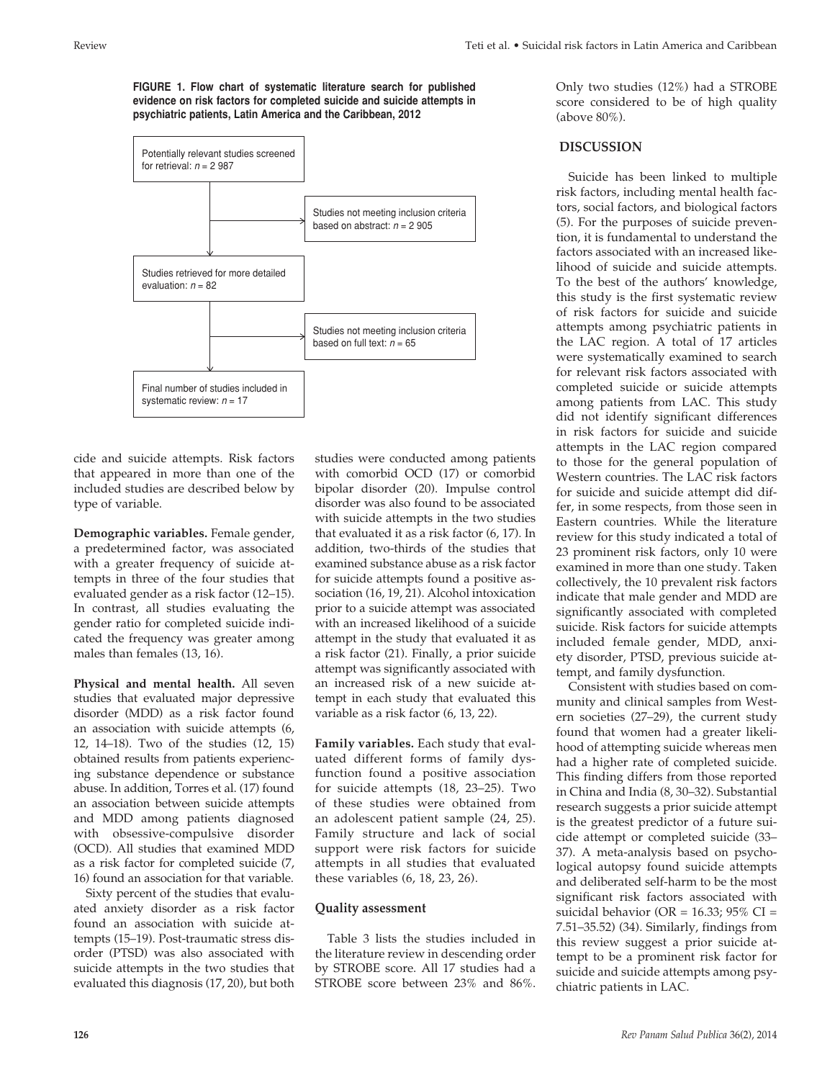**FIGURE 1. Flow chart of systematic literature search for published evidence on risk factors for completed suicide and suicide attempts in psychiatric patients, Latin America and the Caribbean, 2012**



cide and suicide attempts. Risk factors that appeared in more than one of the included studies are described below by type of variable.

**Demographic variables.** Female gender, a predetermined factor, was associated with a greater frequency of suicide attempts in three of the four studies that evaluated gender as a risk factor (12–15). In contrast, all studies evaluating the gender ratio for completed suicide indicated the frequency was greater among males than females (13, 16).

**Physical and mental health.** All seven studies that evaluated major depressive disorder (MDD) as a risk factor found an association with suicide attempts (6, 12, 14–18). Two of the studies (12, 15) obtained results from patients experiencing substance dependence or substance abuse. In addition, Torres et al. (17) found an association between suicide attempts and MDD among patients diagnosed with obsessive-compulsive disorder (OCD). All studies that examined MDD as a risk factor for completed suicide (7, 16) found an association for that variable.

Sixty percent of the studies that evaluated anxiety disorder as a risk factor found an association with suicide attempts (15–19). Post-traumatic stress disorder (PTSD) was also associated with suicide attempts in the two studies that evaluated this diagnosis (17, 20), but both

studies were conducted among patients with comorbid OCD (17) or comorbid bipolar disorder (20). Impulse control disorder was also found to be associated with suicide attempts in the two studies that evaluated it as a risk factor (6, 17). In addition, two-thirds of the studies that examined substance abuse as a risk factor for suicide attempts found a positive association (16, 19, 21). Alcohol intoxication prior to a suicide attempt was associated with an increased likelihood of a suicide attempt in the study that evaluated it as a risk factor (21). Finally, a prior suicide attempt was significantly associated with an increased risk of a new suicide attempt in each study that evaluated this variable as a risk factor (6, 13, 22).

**Family variables.** Each study that evaluated different forms of family dysfunction found a positive association for suicide attempts (18, 23–25). Two of these studies were obtained from an adolescent patient sample (24, 25). Family structure and lack of social support were risk factors for suicide attempts in all studies that evaluated these variables (6, 18, 23, 26).

# **Quality assessment**

Table 3 lists the studies included in the literature review in descending order by STROBE score. All 17 studies had a STROBE score between 23% and 86%. Only two studies (12%) had a STROBE score considered to be of high quality (above 80%).

# **DISCUSSION**

Suicide has been linked to multiple risk factors, including mental health factors, social factors, and biological factors (5). For the purposes of suicide prevention, it is fundamental to understand the factors associated with an increased likelihood of suicide and suicide attempts. To the best of the authors' knowledge, this study is the first systematic review of risk factors for suicide and suicide attempts among psychiatric patients in the LAC region. A total of 17 articles were systematically examined to search for relevant risk factors associated with completed suicide or suicide attempts among patients from LAC. This study did not identify significant differences in risk factors for suicide and suicide attempts in the LAC region compared to those for the general population of Western countries. The LAC risk factors for suicide and suicide attempt did differ, in some respects, from those seen in Eastern countries. While the literature review for this study indicated a total of 23 prominent risk factors, only 10 were examined in more than one study. Taken collectively, the 10 prevalent risk factors indicate that male gender and MDD are significantly associated with completed suicide. Risk factors for suicide attempts included female gender, MDD, anxiety disorder, PTSD, previous suicide attempt, and family dysfunction.

Consistent with studies based on community and clinical samples from Western societies (27–29), the current study found that women had a greater likelihood of attempting suicide whereas men had a higher rate of completed suicide. This finding differs from those reported in China and India (8, 30–32). Substantial research suggests a prior suicide attempt is the greatest predictor of a future suicide attempt or completed suicide (33– 37). A meta-analysis based on psychological autopsy found suicide attempts and deliberated self-harm to be the most significant risk factors associated with suicidal behavior (OR = 16.33; 95% CI = 7.51–35.52) (34). Similarly, findings from this review suggest a prior suicide attempt to be a prominent risk factor for suicide and suicide attempts among psychiatric patients in LAC.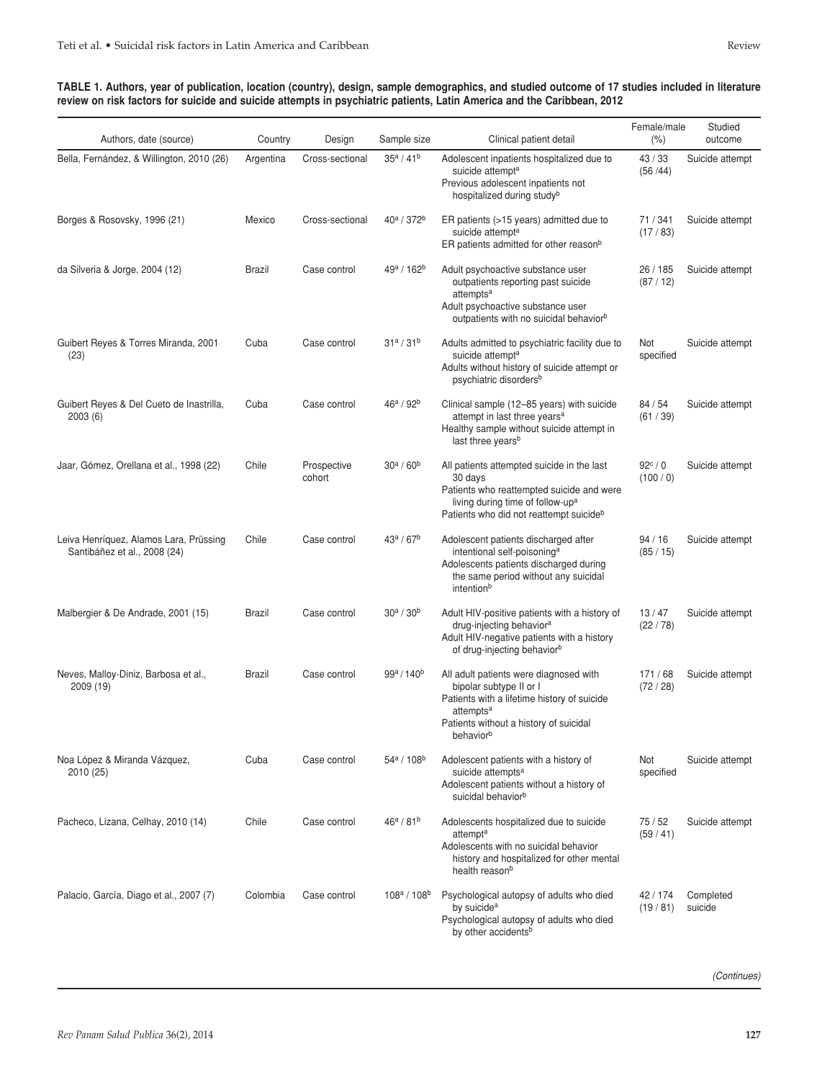#### **TABLE 1. Authors, year of publication, location (country), design, sample demographics, and studied outcome of 17 studies included in literature review on risk factors for suicide and suicide attempts in psychiatric patients, Latin America and the Caribbean, 2012**

| Authors, date (source)                                                 | Country   | Design                | Sample size     | Clinical patient detail                                                                                                                                                                                      | Female/male<br>$(\% )$      | Studied<br>outcome   |
|------------------------------------------------------------------------|-----------|-----------------------|-----------------|--------------------------------------------------------------------------------------------------------------------------------------------------------------------------------------------------------------|-----------------------------|----------------------|
| Bella, Fernández, & Willington, 2010 (26)                              | Argentina | Cross-sectional       | $35^a / 41^b$   | Adolescent inpatients hospitalized due to<br>suicide attempt <sup>a</sup><br>Previous adolescent inpatients not<br>hospitalized during study <sup>b</sup>                                                    | 43 / 33<br>(56/44)          | Suicide attempt      |
| Borges & Rosovsky, 1996 (21)                                           | Mexico    | Cross-sectional       | $40^a / 372^b$  | ER patients (>15 years) admitted due to<br>suicide attempt <sup>a</sup><br>ER patients admitted for other reason <sup>b</sup>                                                                                | 71 / 341<br>(17/83)         | Suicide attempt      |
| da Silveria & Jorge, 2004 (12)                                         | Brazil    | Case control          | $49^a / 162^b$  | Adult psychoactive substance user<br>outpatients reporting past suicide<br>attempts <sup>a</sup><br>Adult psychoactive substance user<br>outpatients with no suicidal behavior <sup>b</sup>                  | 26 / 185<br>(87/12)         | Suicide attempt      |
| Guibert Reyes & Torres Miranda, 2001<br>(23)                           | Cuba      | Case control          | $31^a / 31^b$   | Adults admitted to psychiatric facility due to<br>suicide attempt <sup>a</sup><br>Adults without history of suicide attempt or<br>psychiatric disorders <sup>b</sup>                                         | Not<br>specified            | Suicide attempt      |
| Guibert Reyes & Del Cueto de Inastrilla,<br>2003(6)                    | Cuba      | Case control          | $46^a / 92^b$   | Clinical sample (12-85 years) with suicide<br>attempt in last three years <sup>a</sup><br>Healthy sample without suicide attempt in<br>last three years <sup>b</sup>                                         | 84/54<br>(61/39)            | Suicide attempt      |
| Jaar, Gómez, Orellana et al., 1998 (22)                                | Chile     | Prospective<br>cohort | $30^a / 60^b$   | All patients attempted suicide in the last<br>30 days<br>Patients who reattempted suicide and were<br>living during time of follow-up <sup>a</sup><br>Patients who did not reattempt suicideb                | $92^{\circ}$ / 0<br>(100/0) | Suicide attempt      |
| Leiva Henríquez, Alamos Lara, Prüssing<br>Santibáñez et al., 2008 (24) | Chile     | Case control          | $43^a / 67^b$   | Adolescent patients discharged after<br>intentional self-poisoning <sup>a</sup><br>Adolescents patients discharged during<br>the same period without any suicidal<br>intentionb                              | 94/16<br>(85/15)            | Suicide attempt      |
| Malbergier & De Andrade, 2001 (15)                                     | Brazil    | Case control          | $30^a / 30^b$   | Adult HIV-positive patients with a history of<br>drug-injecting behavior <sup>a</sup><br>Adult HIV-negative patients with a history<br>of drug-injecting behavior <sup>b</sup>                               | 13/47<br>(22/78)            | Suicide attempt      |
| Neves, Malloy-Diniz, Barbosa et al.,<br>2009 (19)                      | Brazil    | Case control          | $99^a / 140^b$  | All adult patients were diagnosed with<br>bipolar subtype II or I<br>Patients with a lifetime history of suicide<br>attempts <sup>a</sup><br>Patients without a history of suicidal<br>behavior <sup>b</sup> | 171/68<br>(72/28)           | Suicide attempt      |
| Noa López & Miranda Vázquez,<br>2010 (25)                              | Cuba      | Case control          | $54^a / 108^b$  | Adolescent patients with a history of<br>suicide attempts <sup>a</sup><br>Adolescent patients without a history of<br>suicidal behavior <sup>b</sup>                                                         | Not<br>specified            | Suicide attempt      |
| Pacheco, Lizana, Celhay, 2010 (14)                                     | Chile     | Case control          | $46^a / 81^b$   | Adolescents hospitalized due to suicide<br>attempt <sup>a</sup><br>Adolescents with no suicidal behavior<br>history and hospitalized for other mental<br>health reason <sup>b</sup>                          | 75/52<br>(59/41)            | Suicide attempt      |
| Palacio, García, Diago et al., 2007 (7)                                | Colombia  | Case control          | $108^a / 108^b$ | Psychological autopsy of adults who died<br>by suicide <sup>a</sup><br>Psychological autopsy of adults who died<br>by other accidents <sup>b</sup>                                                           | 42 / 174<br>(19/81)         | Completed<br>suicide |

*(Continues)*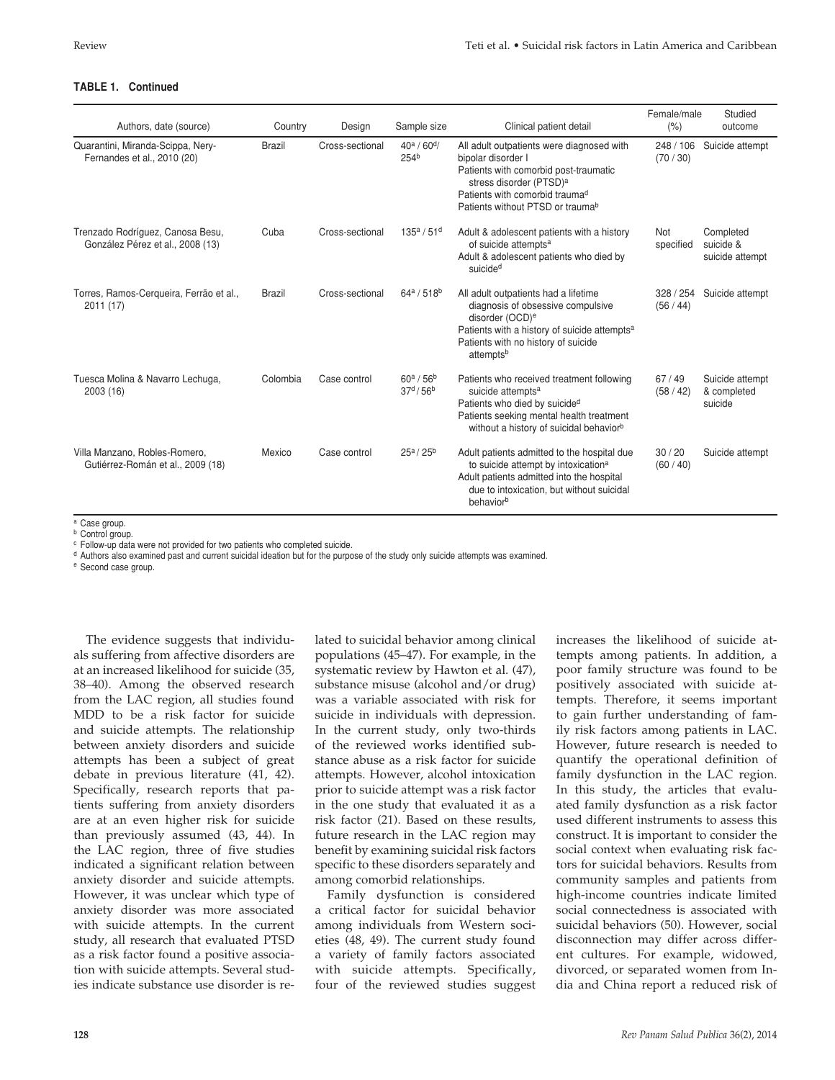# **TABLE 1. Continued**

| Authors, date (source)                                               | Country       | Design          | Sample size                       | Clinical patient detail                                                                                                                                                                                                                       | Female/male<br>(% )  | Studied<br>outcome                        |
|----------------------------------------------------------------------|---------------|-----------------|-----------------------------------|-----------------------------------------------------------------------------------------------------------------------------------------------------------------------------------------------------------------------------------------------|----------------------|-------------------------------------------|
| Quarantini, Miranda-Scippa, Nery-<br>Fernandes et al., 2010 (20)     | <b>Brazil</b> | Cross-sectional | $40^a / 60^d$<br>254 <sup>b</sup> | All adult outpatients were diagnosed with<br>bipolar disorder I<br>Patients with comorbid post-traumatic<br>stress disorder (PTSD) <sup>a</sup><br>Patients with comorbid trauma <sup>d</sup><br>Patients without PTSD or trauma <sup>b</sup> | 248 / 106<br>(70/30) | Suicide attempt                           |
| Trenzado Rodríguez, Canosa Besu,<br>González Pérez et al., 2008 (13) | Cuba          | Cross-sectional | $135^a / 51^d$                    | Adult & adolescent patients with a history<br>of suicide attempts <sup>a</sup><br>Adult & adolescent patients who died by<br>suicide <sup>d</sup>                                                                                             | Not<br>specified     | Completed<br>suicide &<br>suicide attempt |
| Torres, Ramos-Cerqueira, Ferrão et al.,<br>2011 (17)                 | <b>Brazil</b> | Cross-sectional | $64^a / 518^b$                    | All adult outpatients had a lifetime<br>diagnosis of obsessive compulsive<br>disorder (OCD) <sup>e</sup><br>Patients with a history of suicide attempts <sup>a</sup><br>Patients with no history of suicide<br>attempts <sup>b</sup>          | 328/254<br>(56/44)   | Suicide attempt                           |
| Tuesca Molina & Navarro Lechuga,<br>2003 (16)                        | Colombia      | Case control    | $60^a / 56^b$<br>$37^{d}/56^{b}$  | Patients who received treatment following<br>suicide attempts <sup>a</sup><br>Patients who died by suicided<br>Patients seeking mental health treatment<br>without a history of suicidal behavior <sup>b</sup>                                | 67/49<br>(58/42)     | Suicide attempt<br>& completed<br>suicide |
| Villa Manzano, Robles-Romero,<br>Gutiérrez-Román et al., 2009 (18)   | Mexico        | Case control    | $25^a / 25^b$                     | Adult patients admitted to the hospital due<br>to suicide attempt by intoxication <sup>a</sup><br>Adult patients admitted into the hospital<br>due to intoxication, but without suicidal<br>behavior <sup>b</sup>                             | 30/20<br>(60/40)     | Suicide attempt                           |

<sup>a</sup> Case group.

**b** Control group. <sup>c</sup> Follow-up data were not provided for two patients who completed suicide.

<sup>d</sup> Authors also examined past and current suicidal ideation but for the purpose of the study only suicide attempts was examined.

<sup>e</sup> Second case group.

The evidence suggests that individuals suffering from affective disorders are at an increased likelihood for suicide (35, 38–40). Among the observed research from the LAC region, all studies found MDD to be a risk factor for suicide and suicide attempts. The relationship between anxiety disorders and suicide attempts has been a subject of great debate in previous literature (41, 42). Specifically, research reports that patients suffering from anxiety disorders are at an even higher risk for suicide than previously assumed (43, 44). In the LAC region, three of five studies indicated a significant relation between anxiety disorder and suicide attempts. However, it was unclear which type of anxiety disorder was more associated with suicide attempts. In the current study, all research that evaluated PTSD as a risk factor found a positive association with suicide attempts. Several studies indicate substance use disorder is re-

lated to suicidal behavior among clinical populations (45–47). For example, in the systematic review by Hawton et al. (47), substance misuse (alcohol and/or drug) was a variable associated with risk for suicide in individuals with depression. In the current study, only two-thirds of the reviewed works identified substance abuse as a risk factor for suicide attempts. However, alcohol intoxication prior to suicide attempt was a risk factor in the one study that evaluated it as a risk factor (21). Based on these results, future research in the LAC region may benefit by examining suicidal risk factors specific to these disorders separately and among comorbid relationships.

Family dysfunction is considered a critical factor for suicidal behavior among individuals from Western societies (48, 49). The current study found a variety of family factors associated with suicide attempts. Specifically, four of the reviewed studies suggest increases the likelihood of suicide attempts among patients. In addition, a poor family structure was found to be positively associated with suicide attempts. Therefore, it seems important to gain further understanding of family risk factors among patients in LAC. However, future research is needed to quantify the operational definition of family dysfunction in the LAC region. In this study, the articles that evaluated family dysfunction as a risk factor used different instruments to assess this construct. It is important to consider the social context when evaluating risk factors for suicidal behaviors. Results from community samples and patients from high-income countries indicate limited social connectedness is associated with suicidal behaviors (50). However, social disconnection may differ across different cultures. For example, widowed, divorced, or separated women from India and China report a reduced risk of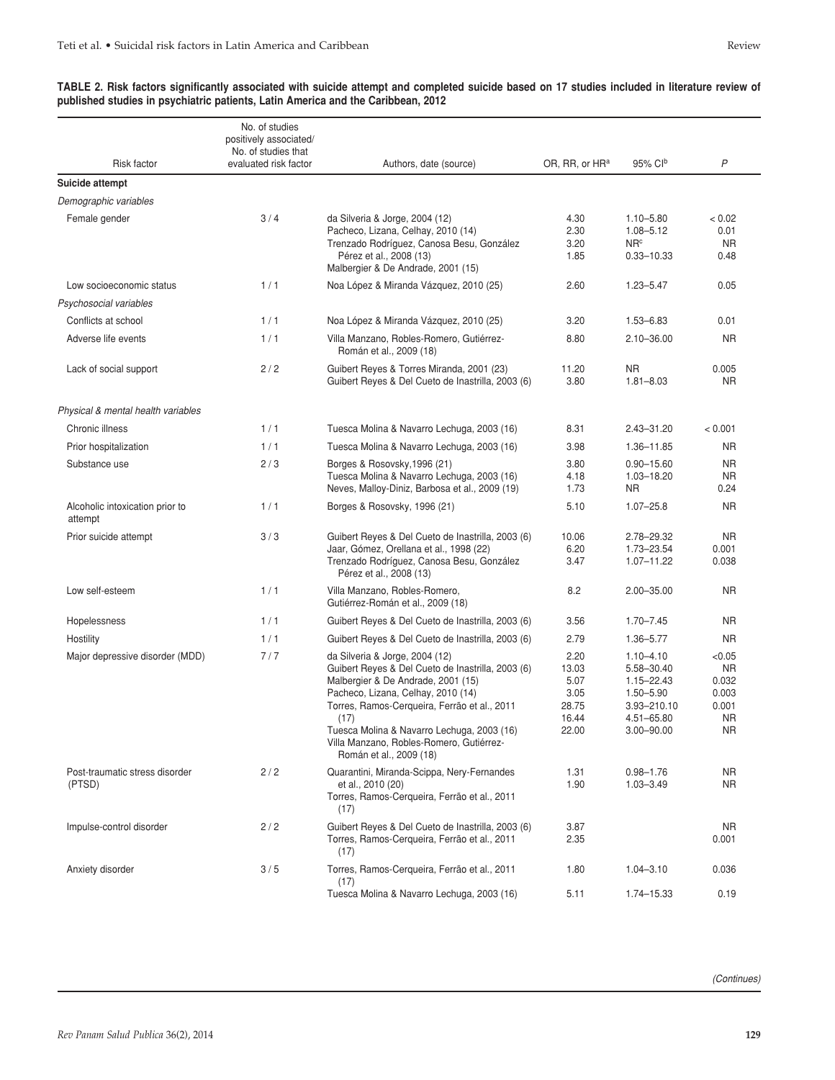| Risk factor                                | No. of studies<br>positively associated/<br>No. of studies that<br>evaluated risk factor | Authors, date (source)                                                                                                                                                                                                                                                                                                                       | OR, RR, or HR <sup>a</sup>                               | 95% Clb                                                                                                   | P                                                                  |
|--------------------------------------------|------------------------------------------------------------------------------------------|----------------------------------------------------------------------------------------------------------------------------------------------------------------------------------------------------------------------------------------------------------------------------------------------------------------------------------------------|----------------------------------------------------------|-----------------------------------------------------------------------------------------------------------|--------------------------------------------------------------------|
| Suicide attempt                            |                                                                                          |                                                                                                                                                                                                                                                                                                                                              |                                                          |                                                                                                           |                                                                    |
| Demographic variables                      |                                                                                          |                                                                                                                                                                                                                                                                                                                                              |                                                          |                                                                                                           |                                                                    |
| Female gender                              | 3/4                                                                                      | da Silveria & Jorge, 2004 (12)<br>Pacheco, Lizana, Celhay, 2010 (14)<br>Trenzado Rodríguez, Canosa Besu, González<br>Pérez et al., 2008 (13)<br>Malbergier & De Andrade, 2001 (15)                                                                                                                                                           | 4.30<br>2.30<br>3.20<br>1.85                             | $1.10 - 5.80$<br>$1.08 - 5.12$<br>NR <sup>c</sup><br>$0.33 - 10.33$                                       | < 0.02<br>0.01<br><b>NR</b><br>0.48                                |
| Low socioeconomic status                   | 1/1                                                                                      | Noa López & Miranda Vázquez, 2010 (25)                                                                                                                                                                                                                                                                                                       | 2.60                                                     | $1.23 - 5.47$                                                                                             | 0.05                                                               |
| Psychosocial variables                     |                                                                                          |                                                                                                                                                                                                                                                                                                                                              |                                                          |                                                                                                           |                                                                    |
| Conflicts at school                        | 1/1                                                                                      | Noa López & Miranda Vázquez, 2010 (25)                                                                                                                                                                                                                                                                                                       | 3.20                                                     | $1.53 - 6.83$                                                                                             | 0.01                                                               |
| Adverse life events                        | 1/1                                                                                      | Villa Manzano, Robles-Romero, Gutiérrez-<br>Román et al., 2009 (18)                                                                                                                                                                                                                                                                          | 8.80                                                     | $2.10 - 36.00$                                                                                            | <b>NR</b>                                                          |
| Lack of social support                     | 2/2                                                                                      | Guibert Reyes & Torres Miranda, 2001 (23)<br>Guibert Reyes & Del Cueto de Inastrilla, 2003 (6)                                                                                                                                                                                                                                               | 11.20<br>3.80                                            | <b>NR</b><br>$1.81 - 8.03$                                                                                | 0.005<br>NR.                                                       |
| Physical & mental health variables         |                                                                                          |                                                                                                                                                                                                                                                                                                                                              |                                                          |                                                                                                           |                                                                    |
| Chronic illness                            | 1/1                                                                                      | Tuesca Molina & Navarro Lechuga, 2003 (16)                                                                                                                                                                                                                                                                                                   | 8.31                                                     | $2.43 - 31.20$                                                                                            | < 0.001                                                            |
| Prior hospitalization                      | 1/1                                                                                      | Tuesca Molina & Navarro Lechuga, 2003 (16)                                                                                                                                                                                                                                                                                                   | 3.98                                                     | 1.36-11.85                                                                                                | NR.                                                                |
| Substance use                              | 2/3                                                                                      | Borges & Rosovsky, 1996 (21)<br>Tuesca Molina & Navarro Lechuga, 2003 (16)<br>Neves, Malloy-Diniz, Barbosa et al., 2009 (19)                                                                                                                                                                                                                 | 3.80<br>4.18<br>1.73                                     | $0.90 - 15.60$<br>1.03-18.20<br>NR.                                                                       | <b>NR</b><br><b>NR</b><br>0.24                                     |
| Alcoholic intoxication prior to<br>attempt | 1/1                                                                                      | Borges & Rosovsky, 1996 (21)                                                                                                                                                                                                                                                                                                                 | 5.10                                                     | $1.07 - 25.8$                                                                                             | <b>NR</b>                                                          |
| Prior suicide attempt                      | 3/3                                                                                      | Guibert Reyes & Del Cueto de Inastrilla, 2003 (6)<br>Jaar, Gómez, Orellana et al., 1998 (22)<br>Trenzado Rodríguez, Canosa Besu, González<br>Pérez et al., 2008 (13)                                                                                                                                                                         | 10.06<br>6.20<br>3.47                                    | 2.78-29.32<br>1.73-23.54<br>1.07-11.22                                                                    | <b>NR</b><br>0.001<br>0.038                                        |
| Low self-esteem                            | 1/1                                                                                      | Villa Manzano, Robles-Romero,<br>Gutiérrez-Román et al., 2009 (18)                                                                                                                                                                                                                                                                           | 8.2                                                      | $2.00 - 35.00$                                                                                            | <b>NR</b>                                                          |
| Hopelessness                               | 1/1                                                                                      | Guibert Reyes & Del Cueto de Inastrilla, 2003 (6)                                                                                                                                                                                                                                                                                            | 3.56                                                     | $1.70 - 7.45$                                                                                             | <b>NR</b>                                                          |
| Hostility                                  | 1/1                                                                                      | Guibert Reyes & Del Cueto de Inastrilla, 2003 (6)                                                                                                                                                                                                                                                                                            | 2.79                                                     | 1.36-5.77                                                                                                 | <b>NR</b>                                                          |
| Major depressive disorder (MDD)            | 7/7                                                                                      | da Silveria & Jorge, 2004 (12)<br>Guibert Reyes & Del Cueto de Inastrilla, 2003 (6)<br>Malbergier & De Andrade, 2001 (15)<br>Pacheco, Lizana, Celhay, 2010 (14)<br>Torres, Ramos-Cerqueira, Ferrão et al., 2011<br>(17)<br>Tuesca Molina & Navarro Lechuga, 2003 (16)<br>Villa Manzano, Robles-Romero, Gutiérrez-<br>Román et al., 2009 (18) | 2.20<br>13.03<br>5.07<br>3.05<br>28.75<br>16.44<br>22.00 | $1.10 - 4.10$<br>5.58-30.40<br>$1.15 - 22.43$<br>1.50-5.90<br>3.93-210.10<br>4.51-65.80<br>$3.00 - 90.00$ | < 0.05<br><b>NR</b><br>0.032<br>0.003<br>0.001<br><b>NR</b><br>NR. |
| Post-traumatic stress disorder<br>(PTSD)   | 2/2                                                                                      | Quarantini, Miranda-Scippa, Nery-Fernandes<br>et al., 2010 (20)<br>Torres, Ramos-Cerqueira, Ferrão et al., 2011<br>(17)                                                                                                                                                                                                                      | 1.31<br>1.90                                             | $0.98 - 1.76$<br>$1.03 - 3.49$                                                                            | <b>NR</b><br><b>NR</b>                                             |
| Impulse-control disorder                   | 2/2                                                                                      | Guibert Reyes & Del Cueto de Inastrilla, 2003 (6)<br>Torres, Ramos-Cerqueira, Ferrão et al., 2011<br>(17)                                                                                                                                                                                                                                    | 3.87<br>2.35                                             |                                                                                                           | NR.<br>0.001                                                       |
| Anxiety disorder                           | 3/5                                                                                      | Torres, Ramos-Cerqueira, Ferrão et al., 2011<br>(17)                                                                                                                                                                                                                                                                                         | 1.80                                                     | $1.04 - 3.10$                                                                                             | 0.036                                                              |
|                                            |                                                                                          | Tuesca Molina & Navarro Lechuga, 2003 (16)                                                                                                                                                                                                                                                                                                   | 5.11                                                     | 1.74-15.33                                                                                                | 0.19                                                               |

#### **TABLE 2. Risk factors significantly associated with suicide attempt and completed suicide based on 17 studies included in literature review of published studies in psychiatric patients, Latin America and the Caribbean, 2012**

*(Continues)*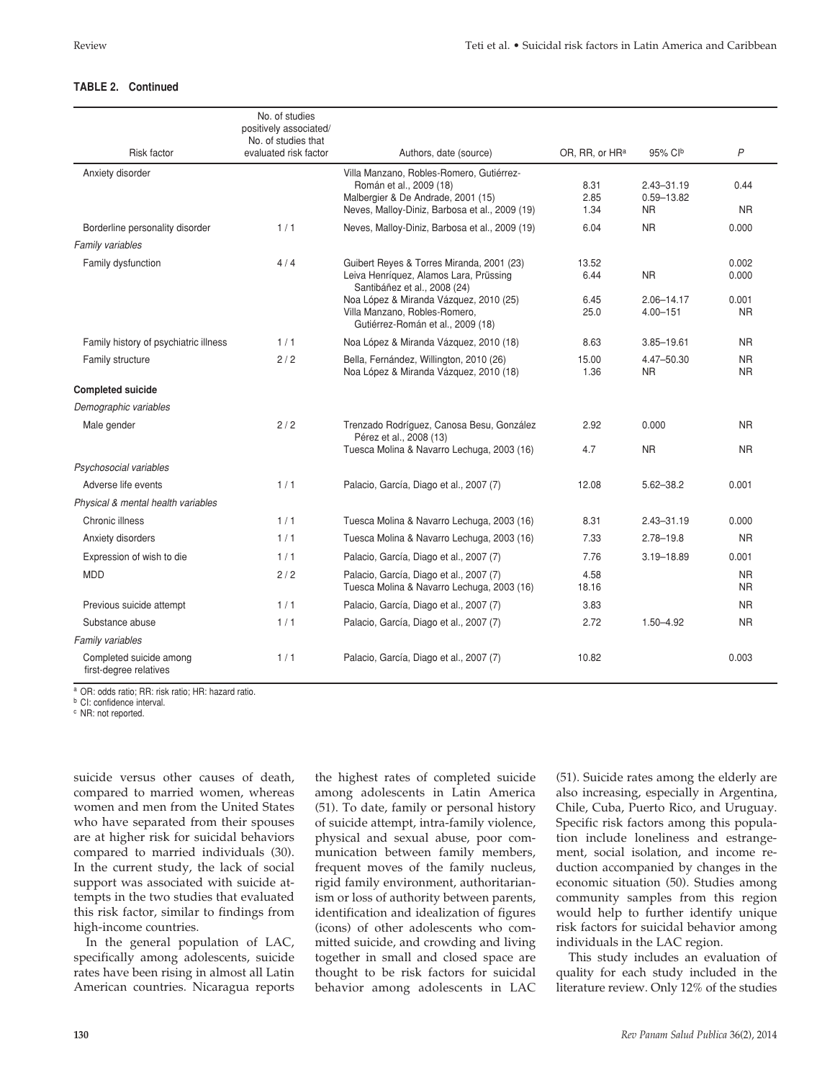# **TABLE 2. Continued**

|                                                   | No. of studies<br>positively associated/<br>No. of studies that |                                                                                                                                                               |                            |                                               |                         |
|---------------------------------------------------|-----------------------------------------------------------------|---------------------------------------------------------------------------------------------------------------------------------------------------------------|----------------------------|-----------------------------------------------|-------------------------|
| <b>Risk factor</b>                                | evaluated risk factor                                           | Authors, date (source)                                                                                                                                        | OR, RR, or HR <sup>a</sup> | 95% Clb                                       | P                       |
| Anxiety disorder                                  |                                                                 | Villa Manzano, Robles-Romero, Gutiérrez-<br>Román et al., 2009 (18)<br>Malbergier & De Andrade, 2001 (15)<br>Neves, Malloy-Diniz, Barbosa et al., 2009 (19)   | 8.31<br>2.85<br>1.34       | $2.43 - 31.19$<br>$0.59 - 13.82$<br><b>NR</b> | 0.44<br><b>NR</b>       |
| Borderline personality disorder                   | 1/1                                                             | Neves, Malloy-Diniz, Barbosa et al., 2009 (19)                                                                                                                | 6.04                       | <b>NR</b>                                     | 0.000                   |
| Family variables                                  |                                                                 |                                                                                                                                                               |                            |                                               |                         |
| Family dysfunction                                | 4/4                                                             | Guibert Reyes & Torres Miranda, 2001 (23)<br>Leiva Henríquez, Alamos Lara, Prüssing<br>Santibáñez et al., 2008 (24)<br>Noa López & Miranda Vázquez, 2010 (25) | 13.52<br>6.44<br>6.45      | <b>NR</b><br>$2.06 - 14.17$                   | 0.002<br>0.000<br>0.001 |
|                                                   |                                                                 | Villa Manzano, Robles-Romero,<br>Gutiérrez-Román et al., 2009 (18)                                                                                            | 25.0                       | $4.00 - 151$                                  | <b>NR</b>               |
| Family history of psychiatric illness             | 1/1                                                             | Noa López & Miranda Vázquez, 2010 (18)                                                                                                                        | 8.63                       | $3.85 - 19.61$                                | <b>NR</b>               |
| Family structure                                  | 2/2                                                             | Bella, Fernández, Willington, 2010 (26)<br>Noa López & Miranda Vázquez, 2010 (18)                                                                             | 15.00<br>1.36              | 4.47-50.30<br>NR.                             | <b>NR</b><br><b>NR</b>  |
| <b>Completed suicide</b>                          |                                                                 |                                                                                                                                                               |                            |                                               |                         |
| Demographic variables                             |                                                                 |                                                                                                                                                               |                            |                                               |                         |
| Male gender                                       | 2/2                                                             | Trenzado Rodríguez, Canosa Besu, González<br>Pérez et al., 2008 (13)                                                                                          | 2.92                       | 0.000                                         | <b>NR</b>               |
|                                                   |                                                                 | Tuesca Molina & Navarro Lechuga, 2003 (16)                                                                                                                    | 4.7                        | <b>NR</b>                                     | <b>NR</b>               |
| Psychosocial variables<br>Adverse life events     | 1/1                                                             | Palacio, García, Diago et al., 2007 (7)                                                                                                                       | 12.08                      | $5.62 - 38.2$                                 | 0.001                   |
| Physical & mental health variables                |                                                                 |                                                                                                                                                               |                            |                                               |                         |
| Chronic illness                                   | 1/1                                                             | Tuesca Molina & Navarro Lechuga, 2003 (16)                                                                                                                    | 8.31                       | $2.43 - 31.19$                                | 0.000                   |
| Anxiety disorders                                 | 1/1                                                             | Tuesca Molina & Navarro Lechuga, 2003 (16)                                                                                                                    | 7.33                       | $2.78 - 19.8$                                 | <b>NR</b>               |
| Expression of wish to die                         | 1/1                                                             | Palacio, García, Diago et al., 2007 (7)                                                                                                                       | 7.76                       | $3.19 - 18.89$                                | 0.001                   |
| <b>MDD</b>                                        | 2/2                                                             | Palacio, García, Diago et al., 2007 (7)<br>Tuesca Molina & Navarro Lechuga, 2003 (16)                                                                         | 4.58<br>18.16              |                                               | <b>NR</b><br><b>NR</b>  |
| Previous suicide attempt                          | 1/1                                                             | Palacio, García, Diago et al., 2007 (7)                                                                                                                       | 3.83                       |                                               | <b>NR</b>               |
| Substance abuse                                   | 1/1                                                             | Palacio, García, Diago et al., 2007 (7)                                                                                                                       | 2.72                       | $1.50 - 4.92$                                 | N <sub>R</sub>          |
| Family variables                                  |                                                                 |                                                                                                                                                               |                            |                                               |                         |
| Completed suicide among<br>first-degree relatives | 1/1                                                             | Palacio, García, Diago et al., 2007 (7)                                                                                                                       | 10.82                      |                                               | 0.003                   |

<sup>a</sup> OR: odds ratio; RR: risk ratio; HR: hazard ratio.

**b** CI: confidence interval.

c NR: not reported.

suicide versus other causes of death, compared to married women, whereas women and men from the United States who have separated from their spouses are at higher risk for suicidal behaviors compared to married individuals (30). In the current study, the lack of social support was associated with suicide attempts in the two studies that evaluated this risk factor, similar to findings from high-income countries.

In the general population of LAC, specifically among adolescents, suicide rates have been rising in almost all Latin American countries. Nicaragua reports the highest rates of completed suicide among adolescents in Latin America (51). To date, family or personal history of suicide attempt, intra-family violence, physical and sexual abuse, poor communication between family members, frequent moves of the family nucleus, rigid family environment, authoritarianism or loss of authority between parents, identification and idealization of figures (icons) of other adolescents who committed suicide, and crowding and living together in small and closed space are thought to be risk factors for suicidal behavior among adolescents in LAC

(51). Suicide rates among the elderly are also increasing, especially in Argentina, Chile, Cuba, Puerto Rico, and Uruguay. Specific risk factors among this population include loneliness and estrangement, social isolation, and income reduction accompanied by changes in the economic situation (50). Studies among community samples from this region would help to further identify unique risk factors for suicidal behavior among individuals in the LAC region.

This study includes an evaluation of quality for each study included in the literature review. Only 12% of the studies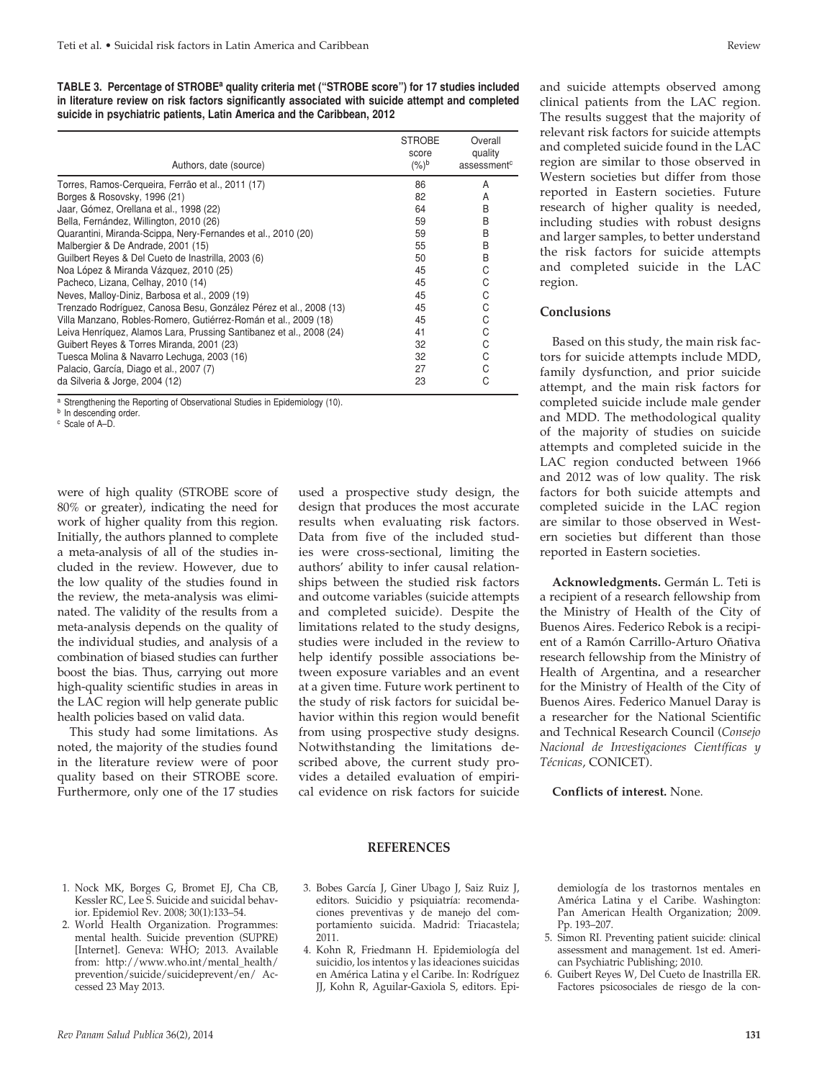**TABLE 3. Percentage of STROBEa quality criteria met ("STROBE score") for 17 studies included in literature review on risk factors significantly associated with suicide attempt and completed suicide in psychiatric patients, Latin America and the Caribbean, 2012**

| Authors, date (source)                                              | <b>STROBE</b><br>score<br>$(%)^b$ | Overall<br>quality<br>assessment <sup>c</sup> |
|---------------------------------------------------------------------|-----------------------------------|-----------------------------------------------|
| Torres, Ramos-Cerqueira, Ferrão et al., 2011 (17)                   | 86                                | A                                             |
| Borges & Rosovsky, 1996 (21)                                        | 82                                | A                                             |
| Jaar, Gómez, Orellana et al., 1998 (22)                             | 64                                | B                                             |
| Bella, Fernández, Willington, 2010 (26)                             | 59                                | B                                             |
| Quarantini, Miranda-Scippa, Nery-Fernandes et al., 2010 (20)        | 59                                | B                                             |
| Malbergier & De Andrade, 2001 (15)                                  | 55                                | B                                             |
| Guilbert Reyes & Del Cueto de Inastrilla, 2003 (6)                  | 50                                | B                                             |
| Noa López & Miranda Vázquez, 2010 (25)                              | 45                                | С                                             |
| Pacheco, Lizana, Celhay, 2010 (14)                                  | 45                                | С                                             |
| Neves, Malloy-Diniz, Barbosa et al., 2009 (19)                      | 45                                | C                                             |
| Trenzado Rodríguez, Canosa Besu, González Pérez et al., 2008 (13)   | 45                                | С                                             |
| Villa Manzano, Robles-Romero, Gutiérrez-Román et al., 2009 (18)     | 45                                | С                                             |
| Leiva Henríquez, Alamos Lara, Prussing Santibanez et al., 2008 (24) | 41                                | С                                             |
| Guibert Reyes & Torres Miranda, 2001 (23)                           | 32                                | С                                             |
| Tuesca Molina & Navarro Lechuga, 2003 (16)                          | 32                                | С                                             |
| Palacio, García, Diago et al., 2007 (7)                             | 27                                | С                                             |
| da Silveria & Jorge, 2004 (12)                                      | 23                                | C                                             |

a Strengthening the Reporting of Observational Studies in Epidemiology (10).

were of high quality (STROBE score of 80% or greater), indicating the need for work of higher quality from this region. Initially, the authors planned to complete a meta-analysis of all of the studies included in the review. However, due to the low quality of the studies found in the review, the meta-analysis was eliminated. The validity of the results from a meta-analysis depends on the quality of the individual studies, and analysis of a combination of biased studies can further boost the bias. Thus, carrying out more high-quality scientific studies in areas in the LAC region will help generate public health policies based on valid data.

This study had some limitations. As noted, the majority of the studies found in the literature review were of poor quality based on their STROBE score. Furthermore, only one of the 17 studies

used a prospective study design, the design that produces the most accurate results when evaluating risk factors. Data from five of the included studies were cross-sectional, limiting the authors' ability to infer causal relationships between the studied risk factors and outcome variables (suicide attempts and completed suicide). Despite the limitations related to the study designs, studies were included in the review to help identify possible associations between exposure variables and an event at a given time. Future work pertinent to the study of risk factors for suicidal behavior within this region would benefit from using prospective study designs. Notwithstanding the limitations described above, the current study provides a detailed evaluation of empirical evidence on risk factors for suicide

and suicide attempts observed among clinical patients from the LAC region. The results suggest that the majority of relevant risk factors for suicide attempts and completed suicide found in the LAC region are similar to those observed in Western societies but differ from those reported in Eastern societies. Future research of higher quality is needed, including studies with robust designs and larger samples, to better understand the risk factors for suicide attempts

#### **Conclusions**

region.

Based on this study, the main risk factors for suicide attempts include MDD, family dysfunction, and prior suicide attempt, and the main risk factors for completed suicide include male gender and MDD. The methodological quality of the majority of studies on suicide attempts and completed suicide in the LAC region conducted between 1966 and 2012 was of low quality. The risk factors for both suicide attempts and completed suicide in the LAC region are similar to those observed in Western societies but different than those reported in Eastern societies.

and completed suicide in the LAC

**Acknowledgments.** Germán L. Teti is a recipient of a research fellowship from the Ministry of Health of the City of Buenos Aires. Federico Rebok is a recipient of a Ramón Carrillo-Arturo Oñativa research fellowship from the Ministry of Health of Argentina, and a researcher for the Ministry of Health of the City of Buenos Aires. Federico Manuel Daray is a researcher for the National Scientific and Technical Research Council (*Consejo Nacional de Investigaciones Científicas y Técnicas*, CONICET).

**Conflicts of interest.** None.

- 1. Nock MK, Borges G, Bromet EJ, Cha CB, Kessler RC, Lee S. Suicide and suicidal behavior. Epidemiol Rev. 2008; 30(1):133–54.
- 2. World Health Organization. Programmes: mental health. Suicide prevention (SUPRE) [Internet]. Geneva: WHO; 2013. Available from: http://www.who.int/mental\_health/ prevention/suicide/suicideprevent/en/ Accessed 23 May 2013.

# **REFERENCES**

- 3. Bobes García J, Giner Ubago J, Saiz Ruiz J, editors. Suicidio y psiquiatría: recomendaciones preventivas y de manejo del comportamiento suicida. Madrid: Triacastela; 2011.
- 4. Kohn R, Friedmann H. Epidemiología del suicidio, los intentos y las ideaciones suicidas en América Latina y el Caribe. In: Rodríguez JJ, Kohn R, Aguilar-Gaxiola S, editors. Epi-

demiología de los trastornos mentales en América Latina y el Caribe. Washington: Pan American Health Organization; 2009. Pp. 193–207.

- 5. Simon RI. Preventing patient suicide: clinical assessment and management. 1st ed. American Psychiatric Publishing; 2010.
- 6. Guibert Reyes W, Del Cueto de Inastrilla ER. Factores psicosociales de riesgo de la con-

**b** In descending order. <sup>c</sup> Scale of A–D.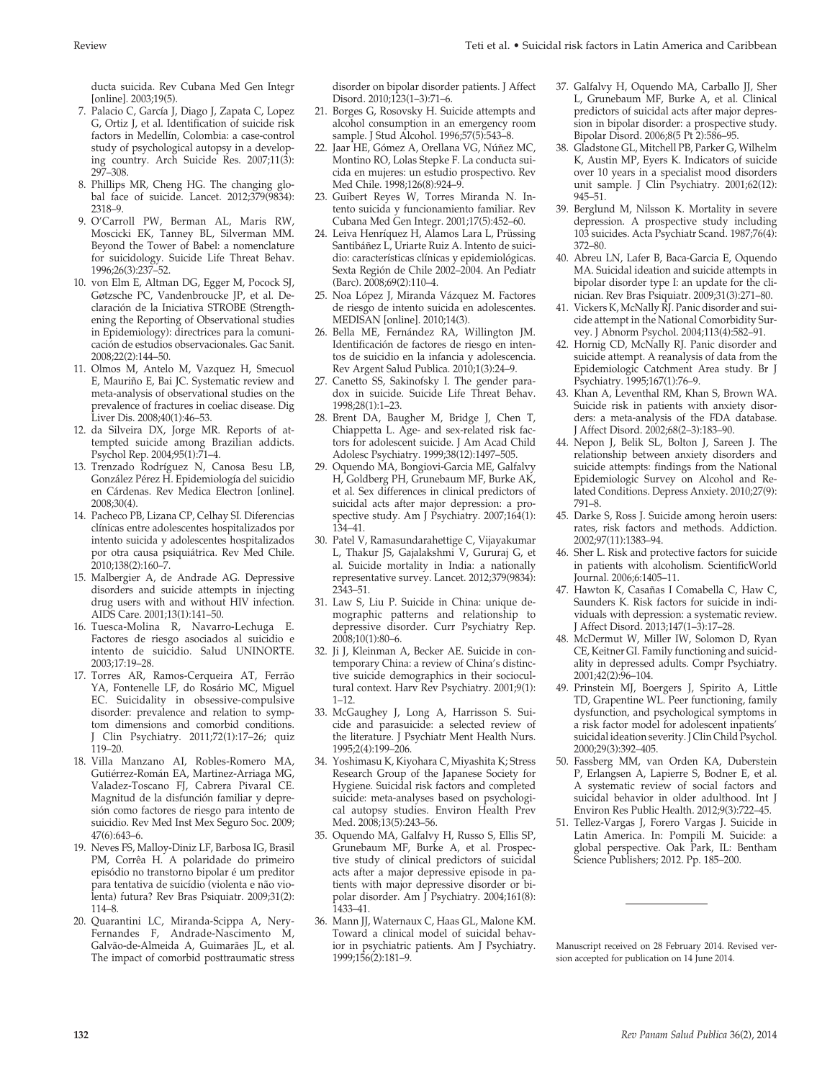ducta suicida. Rev Cubana Med Gen Integr [online]. 2003;19(5).

- 7. Palacio C, García J, Diago J, Zapata C, Lopez G, Ortiz J, et al. Identification of suicide risk factors in Medellín, Colombia: a case-control study of psychological autopsy in a developing country. Arch Suicide Res. 2007;11(3): 297–308.
- 8. Phillips MR, Cheng HG. The changing global face of suicide. Lancet. 2012;379(9834): 2318–9.
- 9. O'Carroll PW, Berman AL, Maris RW, Moscicki EK, Tanney BL, Silverman MM. Beyond the Tower of Babel: a nomenclature for suicidology. Suicide Life Threat Behav. 1996;26(3):237–52.
- 10. von Elm E, Altman DG, Egger M, Pocock SJ, Gøtzsche PC, Vandenbroucke JP, et al. Declaración de la Iniciativa STROBE (Strengthening the Reporting of Observational studies in Epidemiology): directrices para la comunicación de estudios observacionales. Gac Sanit. 2008;22(2):144–50.
- 11. Olmos M, Antelo M, Vazquez H, Smecuol E, Mauriño E, Bai JC. Systematic review and meta-analysis of observational studies on the prevalence of fractures in coeliac disease. Dig Liver Dis. 2008;40(1):46–53.
- 12. da Silveira DX, Jorge MR. Reports of attempted suicide among Brazilian addicts. Psychol Rep. 2004;95(1):71–4.
- 13. Trenzado Rodríguez N, Canosa Besu LB, González Pérez H. Epidemiología del suicidio en Cárdenas. Rev Medica Electron [online]. 2008;30(4).
- 14. Pacheco PB, Lizana CP, Celhay SI. Diferencias clínicas entre adolescentes hospitalizados por intento suicida y adolescentes hospitalizados por otra causa psiquiátrica. Rev Med Chile. 2010;138(2):160–7.
- 15. Malbergier A, de Andrade AG. Depressive disorders and suicide attempts in injecting drug users with and without HIV infection. AIDS Care. 2001;13(1):141–50.
- 16. Tuesca-Molina R, Navarro-Lechuga E. Factores de riesgo asociados al suicidio e intento de suicidio. Salud UNINORTE. 2003;17:19–28.
- 17. Torres AR, Ramos-Cerqueira AT, Ferrão YA, Fontenelle LF, do Rosário MC, Miguel EC. Suicidality in obsessive-compulsive disorder: prevalence and relation to symptom dimensions and comorbid conditions. J Clin Psychiatry. 2011;72(1):17–26; quiz 119–20.
- 18. Villa Manzano AI, Robles-Romero MA, Gutiérrez-Román EA, Martinez-Arriaga MG, Valadez-Toscano FJ, Cabrera Pivaral CE. Magnitud de la disfunción familiar y depresión como factores de riesgo para intento de suicidio. Rev Med Inst Mex Seguro Soc. 2009; 47(6):643–6.
- 19. Neves FS, Malloy-Diniz LF, Barbosa IG, Brasil PM, Corrêa H. A polaridade do primeiro episódio no transtorno bipolar é um preditor para tentativa de suicídio (violenta e não violenta) futura? Rev Bras Psiquiatr. 2009;31(2): 114–8.
- 20. Quarantini LC, Miranda-Scippa A, Nery-Fernandes F, Andrade-Nascimento M, Galvão-de-Almeida A, Guimarães JL, et al. The impact of comorbid posttraumatic stress

disorder on bipolar disorder patients. J Affect Disord. 2010;123(1–3):71–6.

- 21. Borges G, Rosovsky H. Suicide attempts and alcohol consumption in an emergency room sample. J Stud Alcohol. 1996;57(5):543–8.
- 22. Jaar HE, Gómez A, Orellana VG, Núñez MC, Montino RO, Lolas Stepke F. La conducta suicida en mujeres: un estudio prospectivo. Rev Med Chile. 1998;126(8):924–9.
- 23. Guibert Reyes W, Torres Miranda N. Intento suicida y funcionamiento familiar. Rev Cubana Med Gen Integr. 2001;17(5):452–60.
- 24. Leiva Henríquez H, Alamos Lara L, Prüssing Santibáñez L, Uriarte Ruiz A. Intento de suicidio: características clínicas y epidemiológicas. Sexta Región de Chile 2002–2004. An Pediatr (Barc). 2008;69(2):110–4.
- 25. Noa López J, Miranda Vázquez M. Factores de riesgo de intento suicida en adolescentes. MEDISAN [online]. 2010;14(3).
- 26. Bella ME, Fernández RA, Willington JM. Identificación de factores de riesgo en intentos de suicidio en la infancia y adolescencia. Rev Argent Salud Publica. 2010;1(3):24–9.
- 27. Canetto SS, Sakinofsky I. The gender paradox in suicide. Suicide Life Threat Behav. 1998;28(1):1–23.
- 28. Brent DA, Baugher M, Bridge J, Chen T, Chiappetta L. Age- and sex-related risk factors for adolescent suicide. J Am Acad Child Adolesc Psychiatry. 1999;38(12):1497–505.
- 29. Oquendo MA, Bongiovi-Garcia ME, Galfalvy H, Goldberg PH, Grunebaum MF, Burke AK, et al. Sex differences in clinical predictors of suicidal acts after major depression: a prospective study. Am J Psychiatry. 2007;164(1): 134–41.
- 30. Patel V, Ramasundarahettige C, Vijayakumar L, Thakur JS, Gajalakshmi V, Gururaj G, et al. Suicide mortality in India: a nationally representative survey. Lancet. 2012;379(9834): 2343–51.
- 31. Law S, Liu P. Suicide in China: unique demographic patterns and relationship to depressive disorder. Curr Psychiatry Rep. 2008;10(1):80–6.
- 32. Ji J, Kleinman A, Becker AE. Suicide in contemporary China: a review of China's distinctive suicide demographics in their sociocultural context. Harv Rev Psychiatry. 2001;9(1): 1–12.
- 33. McGaughey J, Long A, Harrisson S. Suicide and parasuicide: a selected review of the literature. J Psychiatr Ment Health Nurs. 1995;2(4):199–206.
- 34. Yoshimasu K, Kiyohara C, Miyashita K; Stress Research Group of the Japanese Society for Hygiene. Suicidal risk factors and completed suicide: meta-analyses based on psychological autopsy studies. Environ Health Prev Med. 2008;13(5):243–56.
- 35. Oquendo MA, Galfalvy H, Russo S, Ellis SP, Grunebaum MF, Burke A, et al. Prospective study of clinical predictors of suicidal acts after a major depressive episode in patients with major depressive disorder or bipolar disorder. Am J Psychiatry. 2004;161(8): 1433–41.
- 36. Mann JJ, Waternaux C, Haas GL, Malone KM. Toward a clinical model of suicidal behavior in psychiatric patients. Am J Psychiatry. 1999;156(2):181–9.
- 37. Galfalvy H, Oquendo MA, Carballo JJ, Sher L, Grunebaum MF, Burke A, et al. Clinical predictors of suicidal acts after major depression in bipolar disorder: a prospective study. Bipolar Disord. 2006;8(5 Pt 2):586–95.
- 38. Gladstone GL, Mitchell PB, Parker G, Wilhelm K, Austin MP, Eyers K. Indicators of suicide over 10 years in a specialist mood disorders unit sample. J Clin Psychiatry. 2001;62(12): 945–51.
- 39. Berglund M, Nilsson K. Mortality in severe depression. A prospective study including 103 suicides. Acta Psychiatr Scand. 1987;76(4): 372–80.
- 40. Abreu LN, Lafer B, Baca-Garcia E, Oquendo MA. Suicidal ideation and suicide attempts in bipolar disorder type I: an update for the clinician. Rev Bras Psiquiatr. 2009;31(3):271–80.
- 41. Vickers K, McNally RJ. Panic disorder and suicide attempt in the National Comorbidity Survey. J Abnorm Psychol. 2004;113(4):582–91.
- 42. Hornig CD, McNally RJ. Panic disorder and suicide attempt. A reanalysis of data from the Epidemiologic Catchment Area study. Br J Psychiatry. 1995;167(1):76–9.
- 43. Khan A, Leventhal RM, Khan S, Brown WA. Suicide risk in patients with anxiety disorders: a meta-analysis of the FDA database. J Affect Disord. 2002;68(2–3):183–90.
- 44. Nepon J, Belik SL, Bolton J, Sareen J. The relationship between anxiety disorders and suicide attempts: findings from the National Epidemiologic Survey on Alcohol and Related Conditions. Depress Anxiety. 2010;27(9): 791–8.
- 45. Darke S, Ross J. Suicide among heroin users: rates, risk factors and methods. Addiction. 2002;97(11):1383–94.
- 46. Sher L. Risk and protective factors for suicide in patients with alcoholism. ScientificWorld Journal. 2006;6:1405–11.
- 47. Hawton K, Casañas I Comabella C, Haw C, Saunders K. Risk factors for suicide in individuals with depression: a systematic review. J Affect Disord. 2013;147(1–3):17–28.
- 48. McDermut W, Miller IW, Solomon D, Ryan CE, Keitner GI. Family functioning and suicidality in depressed adults. Compr Psychiatry. 2001;42(2):96–104.
- 49. Prinstein MJ, Boergers J, Spirito A, Little TD, Grapentine WL. Peer functioning, family dysfunction, and psychological symptoms in a risk factor model for adolescent inpatients' suicidal ideation severity. J Clin Child Psychol. 2000;29(3):392–405.
- 50. Fassberg MM, van Orden KA, Duberstein P, Erlangsen A, Lapierre S, Bodner E, et al. A systematic review of social factors and suicidal behavior in older adulthood. Int J Environ Res Public Health. 2012;9(3):722–45.
- 51. Tellez-Vargas J, Forero Vargas J. Suicide in Latin America. In: Pompili M. Suicide: a global perspective. Oak Park, IL: Bentham Science Publishers; 2012. Pp. 185–200.

Manuscript received on 28 February 2014. Revised version accepted for publication on 14 June 2014.